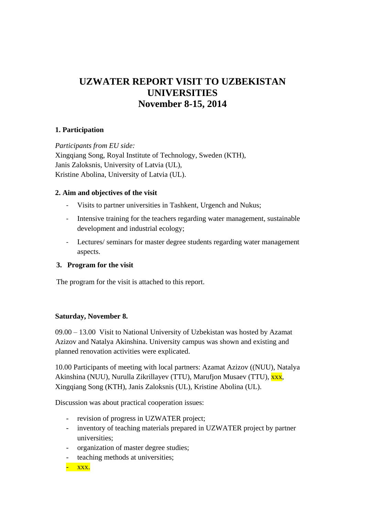# **UZWATER REPORT VISIT TO UZBEKISTAN UNIVERSITIES November 8-15, 2014**

## **1. Participation**

*Participants from EU side:* Xingqiang Song, Royal Institute of Technology, Sweden (KTH), Janis Zaloksnis, University of Latvia (UL), Kristine Abolina, University of Latvia (UL).

## **2. Aim and objectives of the visit**

- Visits to partner universities in Tashkent, Urgench and Nukus;
- Intensive training for the teachers regarding water management, sustainable development and industrial ecology;
- Lectures/ seminars for master degree students regarding water management aspects.

## **3. Program for the visit**

The program for the visit is attached to this report.

## **Saturday, November 8.**

09.00 – 13.00 Visit to National University of Uzbekistan was hosted by Azamat Azizov and Natalya Akinshina. University campus was shown and existing and planned renovation activities were explicated.

10.00 Participants of meeting with local partners: Azamat Azizov ((NUU), Natalya Akinshina (NUU), Nurulla Zikrillayev (TTU), Marufjon Musaev (TTU), xxx, Xingqiang Song (KTH), Janis Zaloksnis (UL), Kristine Abolina (UL).

Discussion was about practical cooperation issues:

- revision of progress in UZWATER project;
- inventory of teaching materials prepared in UZWATER project by partner universities;
- organization of master degree studies;
- teaching methods at universities;

- xxx.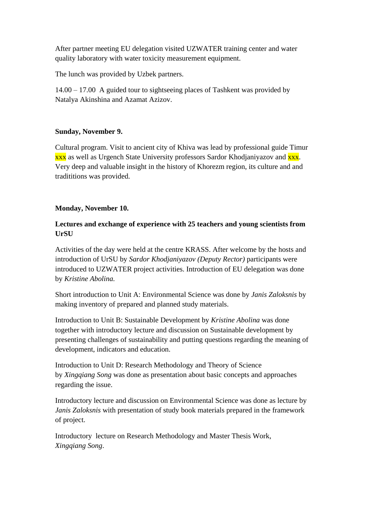After partner meeting EU delegation visited UZWATER training center and water quality laboratory with water toxicity measurement equipment.

The lunch was provided by Uzbek partners.

14.00 – 17.00 A guided tour to sightseeing places of Tashkent was provided by Natalya Akinshina and Azamat Azizov.

## **Sunday, November 9.**

Cultural program. Visit to ancient city of Khiva was lead by professional guide Timur xxx as well as Urgench State University professors Sardor Khodjaniyazov and xxx. Very deep and valuable insight in the history of Khorezm region, its culture and and tradititions was provided.

#### **Monday, November 10.**

## **Lectures and exchange of experience with 25 teachers and young scientists from UrSU**

Activities of the day were held at the centre KRASS. After welcome by the hosts and introduction of UrSU by *Sardor Khodjaniyazov (Deputy Rector)* participants were introduced to UZWATER project activities. Introduction of EU delegation was done by *Kristine Abolina.*

Short introduction to Unit A: Environmental Science was done by *Janis Zaloksnis* by making inventory of prepared and planned study materials.

Introduction to Unit B: Sustainable Development by *Kristine Abolina* was done together with introductory lecture and discussion on Sustainable development by presenting challenges of sustainability and putting questions regarding the meaning of development, indicators and education.

Introduction to Unit D: Research Methodology and Theory of Science by *Xingqiang Song* was done as presentation about basic concepts and approaches regarding the issue.

Introductory lecture and discussion on Environmental Science was done as lecture by *Janis Zaloksnis* with presentation of study book materials prepared in the framework of project.

Introductory lecture on Research Methodology and Master Thesis Work, *Xingqiang Song*.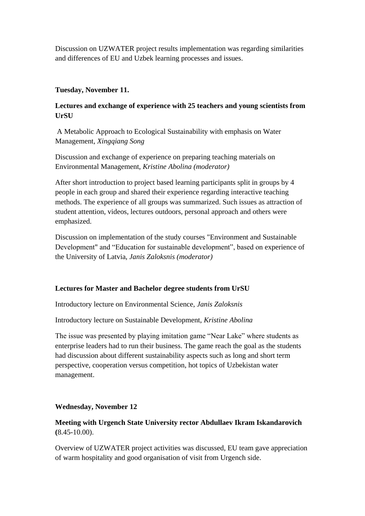Discussion on UZWATER project results implementation was regarding similarities and differences of EU and Uzbek learning processes and issues.

#### **Tuesday, November 11.**

## **Lectures and exchange of experience with 25 teachers and young scientists from UrSU**

A Metabolic Approach to Ecological Sustainability with emphasis on Water Management, *Xingqiang Song*

Discussion and exchange of experience on preparing teaching materials on Environmental Management, *Kristine Abolina (moderator)*

After short introduction to project based learning participants split in groups by 4 people in each group and shared their experience regarding interactive teaching methods. The experience of all groups was summarized. Such issues as attraction of student attention, videos, lectures outdoors, personal approach and others were emphasized.

Discussion on implementation of the study courses "Environment and Sustainable Development" and "Education for sustainable development", based on experience of the University of Latvia, *Janis Zaloksnis (moderator)*

## **Lectures for Master and Bachelor degree students from UrSU**

Introductory lecture on Environmental Science, *Janis Zaloksnis*

Introductory lecture on Sustainable Development, *Kristine Abolina*

The issue was presented by playing imitation game "Near Lake" where students as enterprise leaders had to run their business. The game reach the goal as the students had discussion about different sustainability aspects such as long and short term perspective, cooperation versus competition, hot topics of Uzbekistan water management.

## **Wednesday, November 12**

## **Meeting with Urgench State University rector Abdullaev Ikram Iskandarovich (**8.45-10.00).

Overview of UZWATER project activities was discussed, EU team gave appreciation of warm hospitality and good organisation of visit from Urgench side.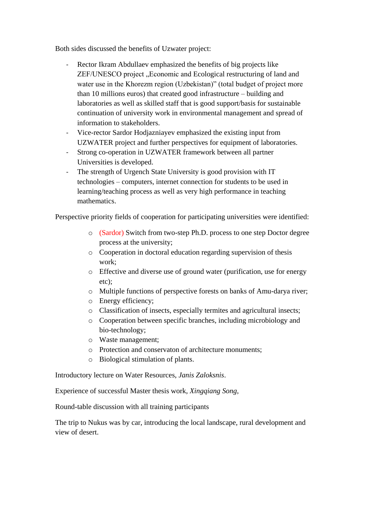Both sides discussed the benefits of Uzwater project:

- Rector Ikram Abdullaev emphasized the benefits of big projects like ZEF/UNESCO project "Economic and Ecological restructuring of land and water use in the Khorezm region (Uzbekistan)" (total budget of project more than 10 millions euros) that created good infrastructure – building and laboratories as well as skilled staff that is good support/basis for sustainable continuation of university work in environmental management and spread of information to stakeholders.
- Vice-rector Sardor Hodjazniayev emphasized the existing input from UZWATER project and further perspectives for equipment of laboratories.
- Strong co-operation in UZWATER framework between all partner Universities is developed.
- The strength of Urgench State University is good provision with IT technologies – computers, internet connection for students to be used in learning/teaching process as well as very high performance in teaching mathematics.

Perspective priority fields of cooperation for participating universities were identified:

- o (Sardor) Switch from two-step Ph.D. process to one step Doctor degree process at the university;
- o Cooperation in doctoral education regarding supervision of thesis work;
- o Effective and diverse use of ground water (purification, use for energy etc);
- o Multiple functions of perspective forests on banks of Amu-darya river;
- o Energy efficiency;
- o Classification of insects, especially termites and agricultural insects;
- o Cooperation between specific branches, including microbiology and bio-technology;
- o Waste management;
- o Protection and conservaton of architecture monuments;
- o Biological stimulation of plants.

Introductory lecture on Water Resources, *Janis Zaloksnis*.

Experience of successful Master thesis work, *Xingqiang Song*,

Round-table discussion with all training participants

The trip to Nukus was by car, introducing the local landscape, rural development and view of desert.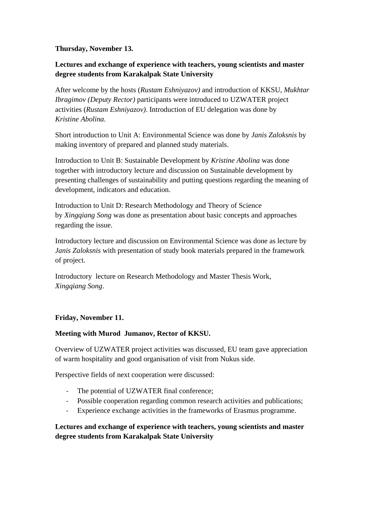**Thursday, November 13.**

## **Lectures and exchange of experience with teachers, young scientists and master degree students from Karakalpak State University**

After welcome by the hosts (*Rustam Eshniyazov)* and introduction of KKSU, *Mukhtar Ibragimov (Deputy Rector)* participants were introduced to UZWATER project activities (*Rustam Eshniyazov)*. Introduction of EU delegation was done by *Kristine Abolina.*

Short introduction to Unit A: Environmental Science was done by *Janis Zaloksnis* by making inventory of prepared and planned study materials.

Introduction to Unit B: Sustainable Development by *Kristine Abolina* was done together with introductory lecture and discussion on Sustainable development by presenting challenges of sustainability and putting questions regarding the meaning of development, indicators and education.

Introduction to Unit D: Research Methodology and Theory of Science by *Xingqiang Song* was done as presentation about basic concepts and approaches regarding the issue.

Introductory lecture and discussion on Environmental Science was done as lecture by *Janis Zaloksnis* with presentation of study book materials prepared in the framework of project.

Introductory lecture on Research Methodology and Master Thesis Work, *Xingqiang Song*.

# **Friday, November 11.**

## **Meeting with Murod Jumanov, Rector of KKSU.**

Overview of UZWATER project activities was discussed, EU team gave appreciation of warm hospitality and good organisation of visit from Nukus side.

Perspective fields of next cooperation were discussed:

- The potential of UZWATER final conference;
- Possible cooperation regarding common research activities and publications;
- Experience exchange activities in the frameworks of Erasmus programme.

**Lectures and exchange of experience with teachers, young scientists and master degree students from Karakalpak State University**